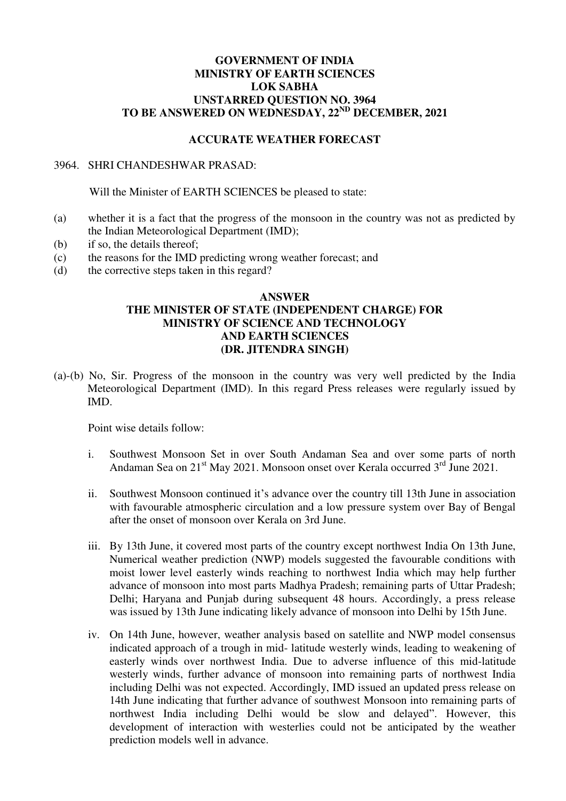## **GOVERNMENT OF INDIA MINISTRY OF EARTH SCIENCES LOK SABHA UNSTARRED QUESTION NO. 3964 TO BE ANSWERED ON WEDNESDAY, 22ND DECEMBER, 2021**

## **ACCURATE WEATHER FORECAST**

## 3964. SHRI CHANDESHWAR PRASAD:

Will the Minister of EARTH SCIENCES be pleased to state:

- (a) whether it is a fact that the progress of the monsoon in the country was not as predicted by the Indian Meteorological Department (IMD);
- (b) if so, the details thereof;
- (c) the reasons for the IMD predicting wrong weather forecast; and
- (d) the corrective steps taken in this regard?

## **ANSWER THE MINISTER OF STATE (INDEPENDENT CHARGE) FOR MINISTRY OF SCIENCE AND TECHNOLOGY AND EARTH SCIENCES (DR. JITENDRA SINGH)**

(a)-(b) No, Sir. Progress of the monsoon in the country was very well predicted by the India Meteorological Department (IMD). In this regard Press releases were regularly issued by IMD.

Point wise details follow:

- i. Southwest Monsoon Set in over South Andaman Sea and over some parts of north Andaman Sea on 21<sup>st</sup> May 2021. Monsoon onset over Kerala occurred 3<sup>rd</sup> June 2021.
- ii. Southwest Monsoon continued it's advance over the country till 13th June in association with favourable atmospheric circulation and a low pressure system over Bay of Bengal after the onset of monsoon over Kerala on 3rd June.
- iii. By 13th June, it covered most parts of the country except northwest India On 13th June, Numerical weather prediction (NWP) models suggested the favourable conditions with moist lower level easterly winds reaching to northwest India which may help further advance of monsoon into most parts Madhya Pradesh; remaining parts of Uttar Pradesh; Delhi; Haryana and Punjab during subsequent 48 hours. Accordingly, a press release was issued by 13th June indicating likely advance of monsoon into Delhi by 15th June.
- iv. On 14th June, however, weather analysis based on satellite and NWP model consensus indicated approach of a trough in mid- latitude westerly winds, leading to weakening of easterly winds over northwest India. Due to adverse influence of this mid-latitude westerly winds, further advance of monsoon into remaining parts of northwest India including Delhi was not expected. Accordingly, IMD issued an updated press release on 14th June indicating that further advance of southwest Monsoon into remaining parts of northwest India including Delhi would be slow and delayed". However, this development of interaction with westerlies could not be anticipated by the weather prediction models well in advance.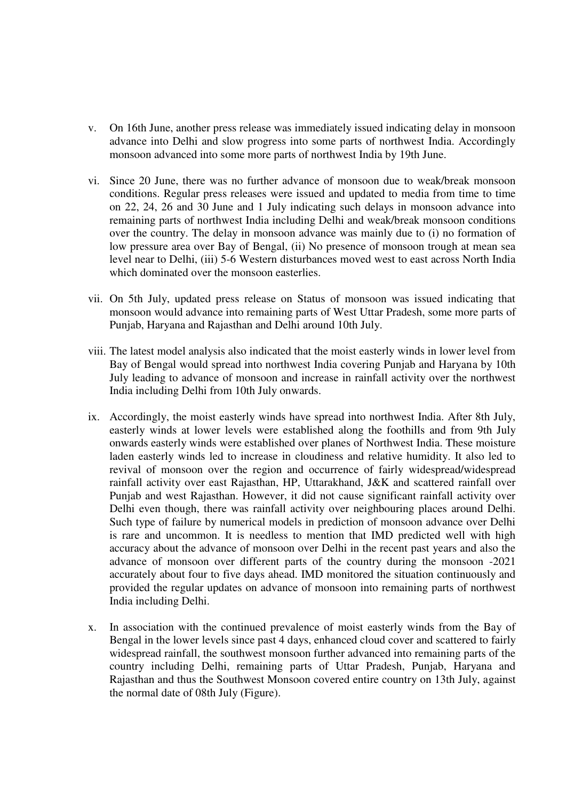- v. On 16th June, another press release was immediately issued indicating delay in monsoon advance into Delhi and slow progress into some parts of northwest India. Accordingly monsoon advanced into some more parts of northwest India by 19th June.
- vi. Since 20 June, there was no further advance of monsoon due to weak/break monsoon conditions. Regular press releases were issued and updated to media from time to time on 22, 24, 26 and 30 June and 1 July indicating such delays in monsoon advance into remaining parts of northwest India including Delhi and weak/break monsoon conditions over the country. The delay in monsoon advance was mainly due to (i) no formation of low pressure area over Bay of Bengal, (ii) No presence of monsoon trough at mean sea level near to Delhi, (iii) 5-6 Western disturbances moved west to east across North India which dominated over the monsoon easterlies.
- vii. On 5th July, updated press release on Status of monsoon was issued indicating that monsoon would advance into remaining parts of West Uttar Pradesh, some more parts of Punjab, Haryana and Rajasthan and Delhi around 10th July.
- viii. The latest model analysis also indicated that the moist easterly winds in lower level from Bay of Bengal would spread into northwest India covering Punjab and Haryana by 10th July leading to advance of monsoon and increase in rainfall activity over the northwest India including Delhi from 10th July onwards.
- ix. Accordingly, the moist easterly winds have spread into northwest India. After 8th July, easterly winds at lower levels were established along the foothills and from 9th July onwards easterly winds were established over planes of Northwest India. These moisture laden easterly winds led to increase in cloudiness and relative humidity. It also led to revival of monsoon over the region and occurrence of fairly widespread/widespread rainfall activity over east Rajasthan, HP, Uttarakhand, J&K and scattered rainfall over Punjab and west Rajasthan. However, it did not cause significant rainfall activity over Delhi even though, there was rainfall activity over neighbouring places around Delhi. Such type of failure by numerical models in prediction of monsoon advance over Delhi is rare and uncommon. It is needless to mention that IMD predicted well with high accuracy about the advance of monsoon over Delhi in the recent past years and also the advance of monsoon over different parts of the country during the monsoon -2021 accurately about four to five days ahead. IMD monitored the situation continuously and provided the regular updates on advance of monsoon into remaining parts of northwest India including Delhi.
- x. In association with the continued prevalence of moist easterly winds from the Bay of Bengal in the lower levels since past 4 days, enhanced cloud cover and scattered to fairly widespread rainfall, the southwest monsoon further advanced into remaining parts of the country including Delhi, remaining parts of Uttar Pradesh, Punjab, Haryana and Rajasthan and thus the Southwest Monsoon covered entire country on 13th July, against the normal date of 08th July (Figure).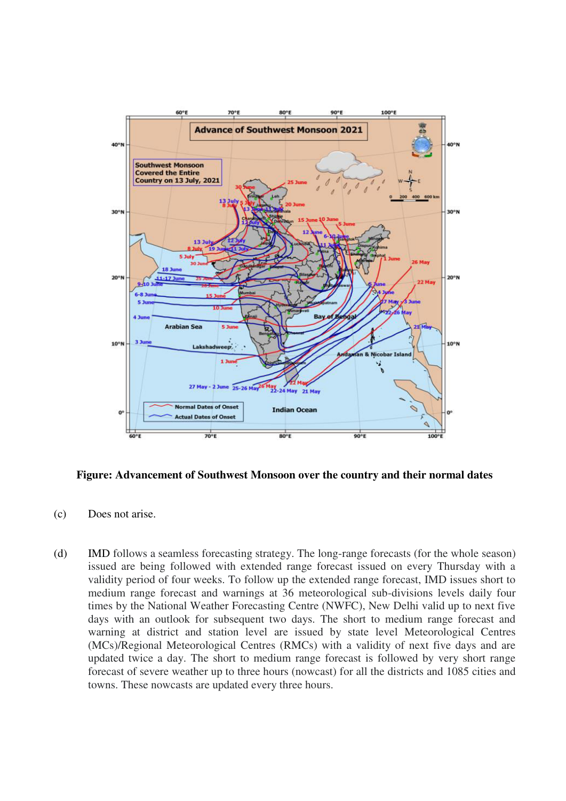

**Figure: Advancement of Southwest Monsoon over the country and their normal dates** 

- (c) Does not arise.
- (d) IMD follows a seamless forecasting strategy. The long-range forecasts (for the whole season) issued are being followed with extended range forecast issued on every Thursday with a validity period of four weeks. To follow up the extended range forecast, IMD issues short to medium range forecast and warnings at 36 meteorological sub-divisions levels daily four times by the National Weather Forecasting Centre (NWFC), New Delhi valid up to next five days with an outlook for subsequent two days. The short to medium range forecast and warning at district and station level are issued by state level Meteorological Centres (MCs)/Regional Meteorological Centres (RMCs) with a validity of next five days and are updated twice a day. The short to medium range forecast is followed by very short range forecast of severe weather up to three hours (nowcast) for all the districts and 1085 cities and towns. These nowcasts are updated every three hours.